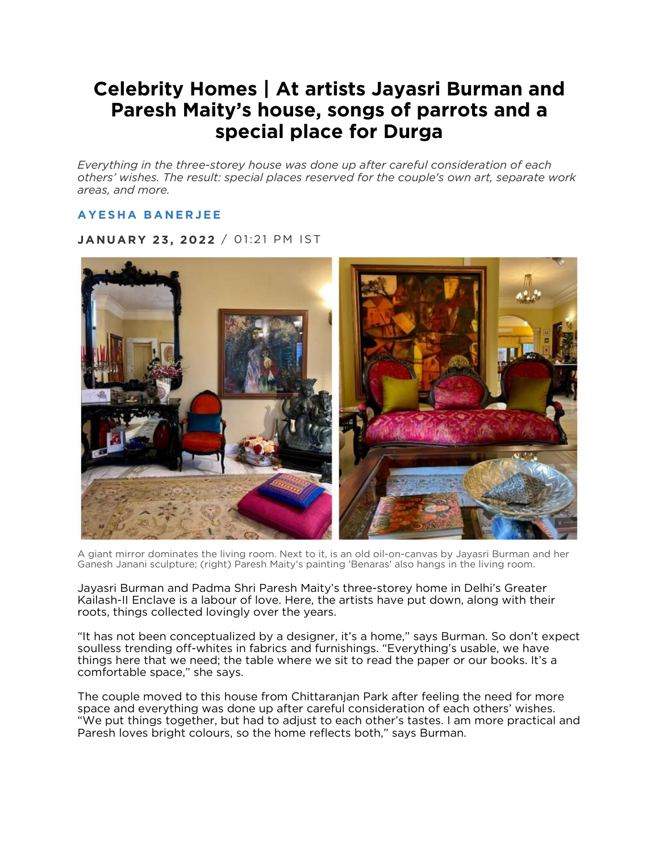# **Celebrity Homes | At artists Jayasri Burman and Paresh Maity's house, songs of parrots and a special place for Durga**

*Everything in the three-storey house was done up after careful consideration of each others' wishes. The result: special places reserved for the couple's own art, separate work areas, and more.*

## **AYESHA [BANERJEE](https://www.moneycontrol.com/author/ayesha-banerjee-20661/)**

**JANUARY 23, 2022** / 01:21 PM IST



A giant mirror dominates the living room. Next to it, is an old oil-on-canvas by Jayasri Burman and her Ganesh Janani sculpture; (right) Paresh Maity's painting 'Benaras' also hangs in the living room.

Jayasri Burman and Padma Shri Paresh Maity's three-storey home in Delhi's Greater Kailash-II Enclave is a labour of love. Here, the artists have put down, along with their roots, things collected lovingly over the years.

"It has not been conceptualized by a designer, it's a home," says Burman. So don't expect soulless trending off-whites in fabrics and furnishings. "Everything's usable, we have things here that we need; the table where we sit to read the paper or our books. It's a comfortable space," she says.

The couple moved to this house from Chittaranjan Park after feeling the need for more space and everything was done up after careful consideration of each others' wishes. "We put things together, but had to adjust to each other's tastes. I am more practical and Paresh loves bright colours, so the home reflects both," says Burman.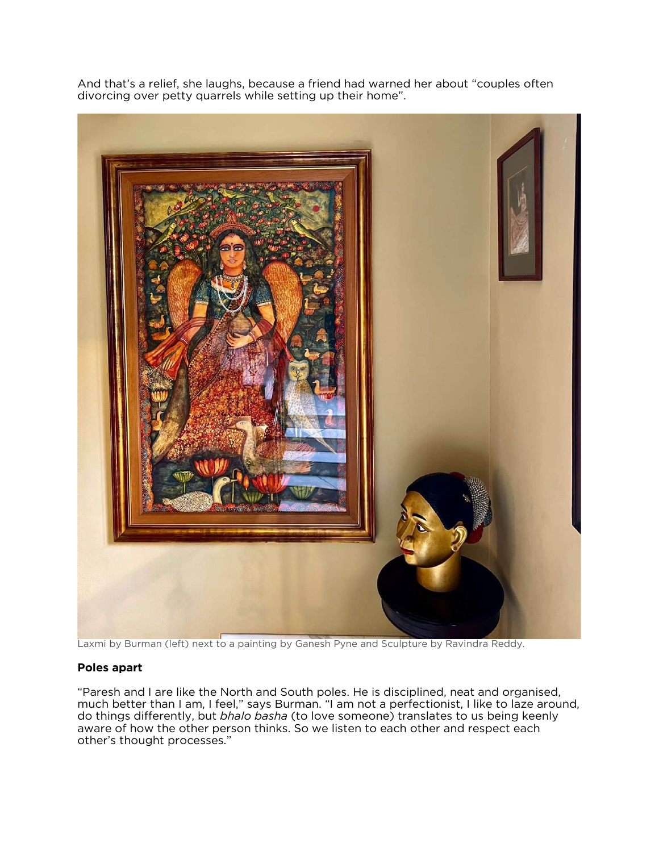And that's a relief, she laughs, because a friend had warned her about "couples often divorcing over petty quarrels while setting up their home".



Laxmi by Burman (left) next to a painting by Ganesh Pyne and Sculpture by Ravindra Reddy.

### **Poles apart**

"Paresh and I are like the North and South poles. He is disciplined, neat and organised, much better than I am, I feel," says Burman. "I am not a perfectionist, I like to laze around, do things differently, but *bhalo basha* (to love someone) translates to us being keenly aware of how the other person thinks. So we listen to each other and respect each other's thought processes."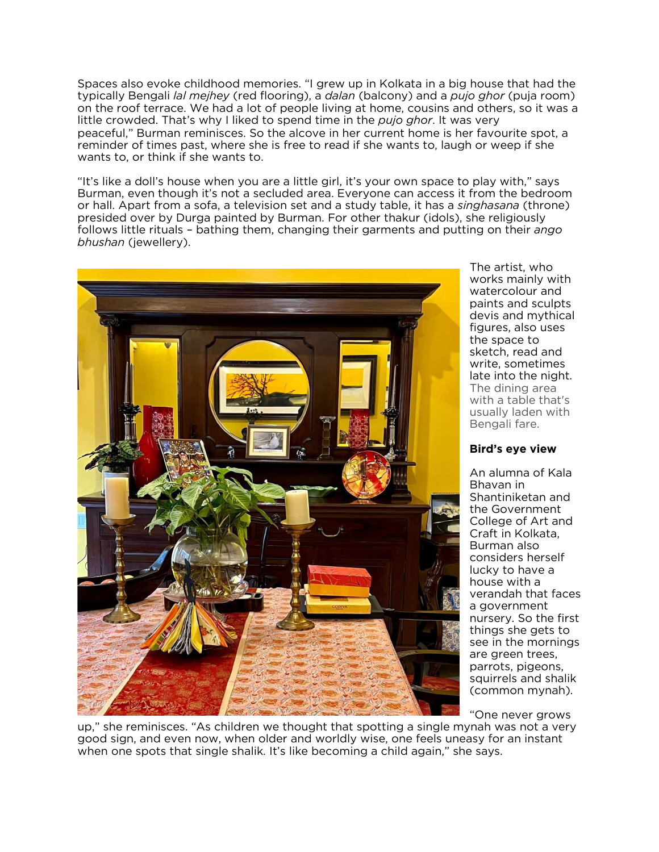Spaces also evoke childhood memories. "I grew up in Kolkata in a big house that had the typically Bengali *lal mejhey* (red flooring), a *dalan* (balcony) and a *pujo ghor* (puja room) on the roof terrace. We had a lot of people living at home, cousins and others, so it was a little crowded. That's why I liked to spend time in the *pujo ghor*. It was very peaceful," Burman reminisces. So the alcove in her current home is her favourite spot, a reminder of times past, where she is free to read if she wants to, laugh or weep if she wants to, or think if she wants to.

"It's like a doll's house when you are a little girl, it's your own space to play with," says Burman, even though it's not a secluded area. Everyone can access it from the bedroom or hall. Apart from a sofa, a television set and a study table, it has a *singhasana* (throne) presided over by Durga painted by Burman. For other thakur (idols), she religiously follows little rituals – bathing them, changing their garments and putting on their *ango bhushan* (jewellery).



The artist, who works mainly with watercolour and paints and sculpts devis and mythical figures, also uses the space to sketch, read and write, sometimes late into the night. The dining area with a table that's usually laden with Bengali fare.

#### **Bird's eye view**

An alumna of Kala Bhavan in Shantiniketan and the Government College of Art and Craft in Kolkata, Burman also considers herself lucky to have a house with a verandah that faces a government nursery. So the first things she gets to see in the mornings are green trees, parrots, pigeons, squirrels and shalik (common mynah).

"One never grows

up," she reminisces. "As children we thought that spotting a single mynah was not a very good sign, and even now, when older and worldly wise, one feels uneasy for an instant when one spots that single shalik. It's like becoming a child again," she says.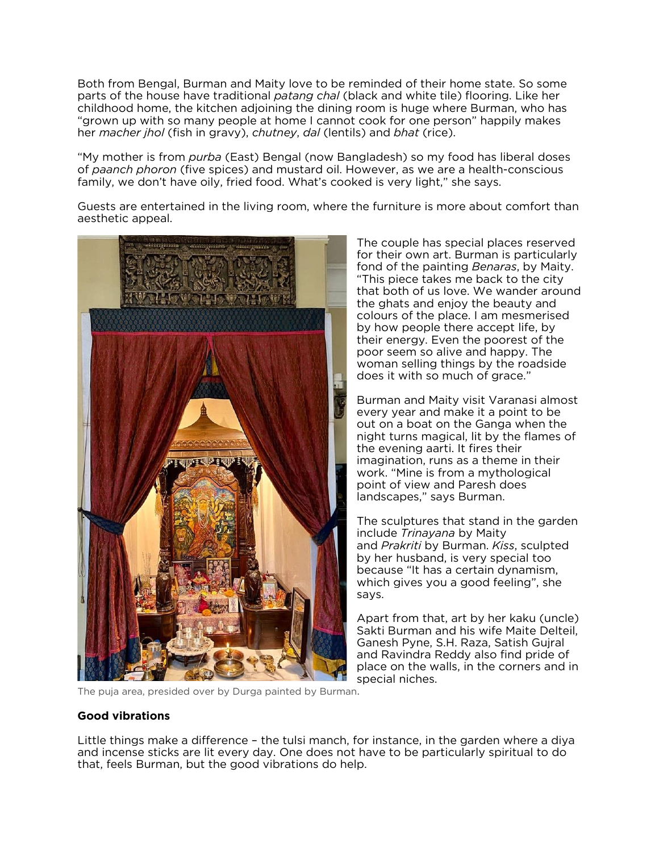Both from Bengal, Burman and Maity love to be reminded of their home state. So some parts of the house have traditional *patang chal* (black and white tile) flooring. Like her childhood home, the kitchen adjoining the dining room is huge where Burman, who has "grown up with so many people at home I cannot cook for one person" happily makes her *macher jhol* (fish in gravy), *chutney*, *dal* (lentils) and *bhat* (rice).

"My mother is from *purba* (East) Bengal (now Bangladesh) so my food has liberal doses of *paanch phoron* (five spices) and mustard oil. However, as we are a health-conscious family, we don't have oily, fried food. What's cooked is very light," she says.

Guests are entertained in the living room, where the furniture is more about comfort than aesthetic appeal.



The couple has special places reserved for their own art. Burman is particularly fond of the painting *Benaras*, by Maity. "This piece takes me back to the city that both of us love. We wander around the ghats and enjoy the beauty and colours of the place. I am mesmerised by how people there accept life, by their energy. Even the poorest of the poor seem so alive and happy. The woman selling things by the roadside does it with so much of grace."

Burman and Maity visit Varanasi almost every year and make it a point to be out on a boat on the Ganga when the night turns magical, lit by the flames of the evening aarti. It fires their imagination, runs as a theme in their work. "Mine is from a mythological point of view and Paresh does landscapes," says Burman.

The sculptures that stand in the garden include *Trinayana* by Maity and *Prakriti* by Burman. *Kiss*, sculpted by her husband, is very special too because "It has a certain dynamism, which gives you a good feeling", she says.

Apart from that, art by her kaku (uncle) Sakti Burman and his wife Maite Delteil, Ganesh Pyne, S.H. Raza, Satish Gujral and Ravindra Reddy also find pride of place on the walls, in the corners and in special niches.

The puja area, presided over by Durga painted by Burman.

### **Good vibrations**

Little things make a difference – the tulsi manch, for instance, in the garden where a diya and incense sticks are lit every day. One does not have to be particularly spiritual to do that, feels Burman, but the good vibrations do help.